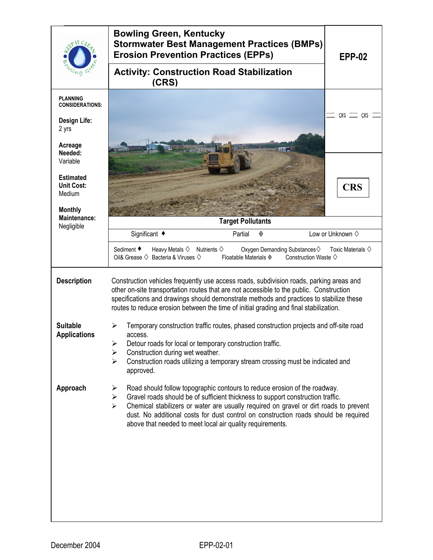|                                                                   | <b>Bowling Green, Kentucky</b><br><b>Stormwater Best Management Practices (BMPs)</b><br><b>Erosion Prevention Practices (EPPs)</b>                                                                                                                                                                                                                                                                                                           | <b>EPP-02</b>                  |
|-------------------------------------------------------------------|----------------------------------------------------------------------------------------------------------------------------------------------------------------------------------------------------------------------------------------------------------------------------------------------------------------------------------------------------------------------------------------------------------------------------------------------|--------------------------------|
|                                                                   | <b>Activity: Construction Road Stabilization</b><br>(CRS)                                                                                                                                                                                                                                                                                                                                                                                    |                                |
| <b>PLANNING</b><br><b>CONSIDERATIONS:</b>                         |                                                                                                                                                                                                                                                                                                                                                                                                                                              |                                |
| <b>Design Life:</b><br>2 yrs                                      |                                                                                                                                                                                                                                                                                                                                                                                                                                              | $CRS \equiv CRS \equiv$        |
| Acreage<br>Needed:<br>Variable                                    |                                                                                                                                                                                                                                                                                                                                                                                                                                              |                                |
| <b>Estimated</b><br><b>Unit Cost:</b><br>Medium<br><b>Monthly</b> |                                                                                                                                                                                                                                                                                                                                                                                                                                              | <b>CRS</b>                     |
| Maintenance:<br>Negligible                                        | <b>Target Pollutants</b>                                                                                                                                                                                                                                                                                                                                                                                                                     |                                |
|                                                                   | Significant ◆<br>Partial<br>◈                                                                                                                                                                                                                                                                                                                                                                                                                | Low or Unknown $\diamond$      |
|                                                                   | Sediment ◆<br>Heavy Metals $\diamond$ Nutrients $\diamond$<br>Oxygen Demanding Substances ♦<br>Oil& Grease $\diamondsuit$ Bacteria & Viruses $\diamondsuit$<br>Floatable Materials $\diamond$<br>Construction Waste $\diamondsuit$                                                                                                                                                                                                           | Toxic Materials $\diamondsuit$ |
| <b>Description</b>                                                | Construction vehicles frequently use access roads, subdivision roads, parking areas and<br>other on-site transportation routes that are not accessible to the public. Construction<br>specifications and drawings should demonstrate methods and practices to stabilize these<br>routes to reduce erosion between the time of initial grading and final stabilization.                                                                       |                                |
| <b>Suitable</b><br><b>Applications</b>                            | Temporary construction traffic routes, phased construction projects and off-site road<br>⋗<br>access.<br>Detour roads for local or temporary construction traffic.<br>➤<br>Construction during wet weather.<br>➤<br>Construction roads utilizing a temporary stream crossing must be indicated and<br>$\blacktriangleright$<br>approved.                                                                                                     |                                |
| Approach                                                          | Road should follow topographic contours to reduce erosion of the roadway.<br>➤<br>Gravel roads should be of sufficient thickness to support construction traffic.<br>➤<br>Chemical stabilizers or water are usually required on gravel or dirt roads to prevent<br>$\blacktriangleright$<br>dust. No additional costs for dust control on construction roads should be required<br>above that needed to meet local air quality requirements. |                                |
|                                                                   |                                                                                                                                                                                                                                                                                                                                                                                                                                              |                                |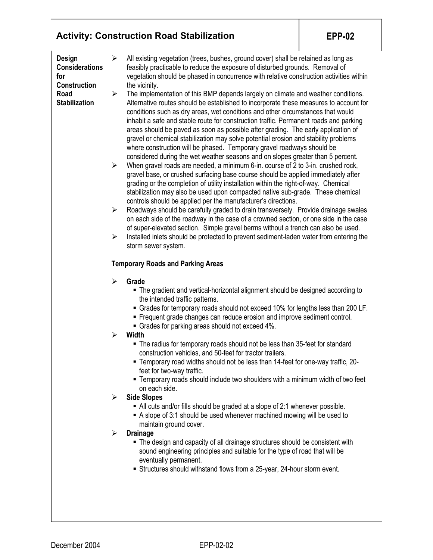| All existing vegetation (trees, bushes, ground cover) shall be retained as long as<br>Design<br>➤<br><b>Considerations</b><br>feasibly practicable to reduce the exposure of disturbed grounds. Removal of<br>for<br><b>Construction</b><br>the vicinity.<br>Road<br>The implementation of this BMP depends largely on climate and weather conditions.<br>➤<br>Alternative routes should be established to incorporate these measures to account for<br>conditions such as dry areas, wet conditions and other circumstances that would<br>inhabit a safe and stable route for construction traffic. Permanent roads and parking<br>areas should be paved as soon as possible after grading. The early application of<br>gravel or chemical stabilization may solve potential erosion and stability problems<br>where construction will be phased. Temporary gravel roadways should be<br>considered during the wet weather seasons and on slopes greater than 5 percent.<br>When gravel roads are needed, a minimum 6-in. course of 2 to 3-in. crushed rock,<br>$\blacktriangleright$<br>gravel base, or crushed surfacing base course should be applied immediately after<br>grading or the completion of utility installation within the right-of-way. Chemical<br>stabilization may also be used upon compacted native sub-grade. These chemical<br>controls should be applied per the manufacturer's directions.<br>Roadways should be carefully graded to drain transversely. Provide drainage swales<br>$\blacktriangleright$<br>on each side of the roadway in the case of a crowned section, or one side in the case<br>of super-elevated section. Simple gravel berms without a trench can also be used.<br>Installed inlets should be protected to prevent sediment-laden water from entering the<br>➤<br>storm sewer system.<br><b>Temporary Roads and Parking Areas</b><br>Grade<br>➤<br>The gradient and vertical-horizontal alignment should be designed according to<br>the intended traffic patterns.<br>■ Grades for temporary roads should not exceed 10% for lengths less than 200 LF.<br>" Frequent grade changes can reduce erosion and improve sediment control.<br>• Grades for parking areas should not exceed 4%.<br>Width<br>The radius for temporary roads should not be less than 35-feet for standard<br>construction vehicles, and 50-feet for tractor trailers.<br>" Temporary road widths should not be less than 14-feet for one-way traffic, 20-<br>feet for two-way traffic.<br>• Temporary roads should include two shoulders with a minimum width of two feet<br>on each side.<br><b>Side Slopes</b><br>➤<br>• All cuts and/or fills should be graded at a slope of 2:1 whenever possible.<br>A slope of 3:1 should be used whenever machined mowing will be used to<br>maintain ground cover.<br><b>Drainage</b><br>➤<br>• The design and capacity of all drainage structures should be consistent with<br>sound engineering principles and suitable for the type of road that will be<br>eventually permanent.<br>Structures should withstand flows from a 25-year, 24-hour storm event. |                      |  | <b>Activity: Construction Road Stabilization</b>                                        | <b>EPP-02</b> |  |  |
|----------------------------------------------------------------------------------------------------------------------------------------------------------------------------------------------------------------------------------------------------------------------------------------------------------------------------------------------------------------------------------------------------------------------------------------------------------------------------------------------------------------------------------------------------------------------------------------------------------------------------------------------------------------------------------------------------------------------------------------------------------------------------------------------------------------------------------------------------------------------------------------------------------------------------------------------------------------------------------------------------------------------------------------------------------------------------------------------------------------------------------------------------------------------------------------------------------------------------------------------------------------------------------------------------------------------------------------------------------------------------------------------------------------------------------------------------------------------------------------------------------------------------------------------------------------------------------------------------------------------------------------------------------------------------------------------------------------------------------------------------------------------------------------------------------------------------------------------------------------------------------------------------------------------------------------------------------------------------------------------------------------------------------------------------------------------------------------------------------------------------------------------------------------------------------------------------------------------------------------------------------------------------------------------------------------------------------------------------------------------------------------------------------------------------------------------------------------------------------------------------------------------------------------------------------------------------------------------------------------------------------------------------------------------------------------------------------------------------------------------------------------------------------------------------------------------------------------------------------------------------------------------------------------------------------------------------------------------------------------------------------------------------------------------------------------------------------------------------------------------------------|----------------------|--|-----------------------------------------------------------------------------------------|---------------|--|--|
|                                                                                                                                                                                                                                                                                                                                                                                                                                                                                                                                                                                                                                                                                                                                                                                                                                                                                                                                                                                                                                                                                                                                                                                                                                                                                                                                                                                                                                                                                                                                                                                                                                                                                                                                                                                                                                                                                                                                                                                                                                                                                                                                                                                                                                                                                                                                                                                                                                                                                                                                                                                                                                                                                                                                                                                                                                                                                                                                                                                                                                                                                                                                  |                      |  | vegetation should be phased in concurrence with relative construction activities within |               |  |  |
|                                                                                                                                                                                                                                                                                                                                                                                                                                                                                                                                                                                                                                                                                                                                                                                                                                                                                                                                                                                                                                                                                                                                                                                                                                                                                                                                                                                                                                                                                                                                                                                                                                                                                                                                                                                                                                                                                                                                                                                                                                                                                                                                                                                                                                                                                                                                                                                                                                                                                                                                                                                                                                                                                                                                                                                                                                                                                                                                                                                                                                                                                                                                  |                      |  |                                                                                         |               |  |  |
|                                                                                                                                                                                                                                                                                                                                                                                                                                                                                                                                                                                                                                                                                                                                                                                                                                                                                                                                                                                                                                                                                                                                                                                                                                                                                                                                                                                                                                                                                                                                                                                                                                                                                                                                                                                                                                                                                                                                                                                                                                                                                                                                                                                                                                                                                                                                                                                                                                                                                                                                                                                                                                                                                                                                                                                                                                                                                                                                                                                                                                                                                                                                  | <b>Stabilization</b> |  |                                                                                         |               |  |  |
|                                                                                                                                                                                                                                                                                                                                                                                                                                                                                                                                                                                                                                                                                                                                                                                                                                                                                                                                                                                                                                                                                                                                                                                                                                                                                                                                                                                                                                                                                                                                                                                                                                                                                                                                                                                                                                                                                                                                                                                                                                                                                                                                                                                                                                                                                                                                                                                                                                                                                                                                                                                                                                                                                                                                                                                                                                                                                                                                                                                                                                                                                                                                  |                      |  |                                                                                         |               |  |  |
|                                                                                                                                                                                                                                                                                                                                                                                                                                                                                                                                                                                                                                                                                                                                                                                                                                                                                                                                                                                                                                                                                                                                                                                                                                                                                                                                                                                                                                                                                                                                                                                                                                                                                                                                                                                                                                                                                                                                                                                                                                                                                                                                                                                                                                                                                                                                                                                                                                                                                                                                                                                                                                                                                                                                                                                                                                                                                                                                                                                                                                                                                                                                  |                      |  |                                                                                         |               |  |  |
|                                                                                                                                                                                                                                                                                                                                                                                                                                                                                                                                                                                                                                                                                                                                                                                                                                                                                                                                                                                                                                                                                                                                                                                                                                                                                                                                                                                                                                                                                                                                                                                                                                                                                                                                                                                                                                                                                                                                                                                                                                                                                                                                                                                                                                                                                                                                                                                                                                                                                                                                                                                                                                                                                                                                                                                                                                                                                                                                                                                                                                                                                                                                  |                      |  |                                                                                         |               |  |  |
|                                                                                                                                                                                                                                                                                                                                                                                                                                                                                                                                                                                                                                                                                                                                                                                                                                                                                                                                                                                                                                                                                                                                                                                                                                                                                                                                                                                                                                                                                                                                                                                                                                                                                                                                                                                                                                                                                                                                                                                                                                                                                                                                                                                                                                                                                                                                                                                                                                                                                                                                                                                                                                                                                                                                                                                                                                                                                                                                                                                                                                                                                                                                  |                      |  |                                                                                         |               |  |  |
|                                                                                                                                                                                                                                                                                                                                                                                                                                                                                                                                                                                                                                                                                                                                                                                                                                                                                                                                                                                                                                                                                                                                                                                                                                                                                                                                                                                                                                                                                                                                                                                                                                                                                                                                                                                                                                                                                                                                                                                                                                                                                                                                                                                                                                                                                                                                                                                                                                                                                                                                                                                                                                                                                                                                                                                                                                                                                                                                                                                                                                                                                                                                  |                      |  |                                                                                         |               |  |  |
|                                                                                                                                                                                                                                                                                                                                                                                                                                                                                                                                                                                                                                                                                                                                                                                                                                                                                                                                                                                                                                                                                                                                                                                                                                                                                                                                                                                                                                                                                                                                                                                                                                                                                                                                                                                                                                                                                                                                                                                                                                                                                                                                                                                                                                                                                                                                                                                                                                                                                                                                                                                                                                                                                                                                                                                                                                                                                                                                                                                                                                                                                                                                  |                      |  |                                                                                         |               |  |  |
|                                                                                                                                                                                                                                                                                                                                                                                                                                                                                                                                                                                                                                                                                                                                                                                                                                                                                                                                                                                                                                                                                                                                                                                                                                                                                                                                                                                                                                                                                                                                                                                                                                                                                                                                                                                                                                                                                                                                                                                                                                                                                                                                                                                                                                                                                                                                                                                                                                                                                                                                                                                                                                                                                                                                                                                                                                                                                                                                                                                                                                                                                                                                  |                      |  |                                                                                         |               |  |  |
|                                                                                                                                                                                                                                                                                                                                                                                                                                                                                                                                                                                                                                                                                                                                                                                                                                                                                                                                                                                                                                                                                                                                                                                                                                                                                                                                                                                                                                                                                                                                                                                                                                                                                                                                                                                                                                                                                                                                                                                                                                                                                                                                                                                                                                                                                                                                                                                                                                                                                                                                                                                                                                                                                                                                                                                                                                                                                                                                                                                                                                                                                                                                  |                      |  |                                                                                         |               |  |  |
|                                                                                                                                                                                                                                                                                                                                                                                                                                                                                                                                                                                                                                                                                                                                                                                                                                                                                                                                                                                                                                                                                                                                                                                                                                                                                                                                                                                                                                                                                                                                                                                                                                                                                                                                                                                                                                                                                                                                                                                                                                                                                                                                                                                                                                                                                                                                                                                                                                                                                                                                                                                                                                                                                                                                                                                                                                                                                                                                                                                                                                                                                                                                  |                      |  |                                                                                         |               |  |  |
|                                                                                                                                                                                                                                                                                                                                                                                                                                                                                                                                                                                                                                                                                                                                                                                                                                                                                                                                                                                                                                                                                                                                                                                                                                                                                                                                                                                                                                                                                                                                                                                                                                                                                                                                                                                                                                                                                                                                                                                                                                                                                                                                                                                                                                                                                                                                                                                                                                                                                                                                                                                                                                                                                                                                                                                                                                                                                                                                                                                                                                                                                                                                  |                      |  |                                                                                         |               |  |  |
|                                                                                                                                                                                                                                                                                                                                                                                                                                                                                                                                                                                                                                                                                                                                                                                                                                                                                                                                                                                                                                                                                                                                                                                                                                                                                                                                                                                                                                                                                                                                                                                                                                                                                                                                                                                                                                                                                                                                                                                                                                                                                                                                                                                                                                                                                                                                                                                                                                                                                                                                                                                                                                                                                                                                                                                                                                                                                                                                                                                                                                                                                                                                  |                      |  |                                                                                         |               |  |  |
|                                                                                                                                                                                                                                                                                                                                                                                                                                                                                                                                                                                                                                                                                                                                                                                                                                                                                                                                                                                                                                                                                                                                                                                                                                                                                                                                                                                                                                                                                                                                                                                                                                                                                                                                                                                                                                                                                                                                                                                                                                                                                                                                                                                                                                                                                                                                                                                                                                                                                                                                                                                                                                                                                                                                                                                                                                                                                                                                                                                                                                                                                                                                  |                      |  |                                                                                         |               |  |  |
|                                                                                                                                                                                                                                                                                                                                                                                                                                                                                                                                                                                                                                                                                                                                                                                                                                                                                                                                                                                                                                                                                                                                                                                                                                                                                                                                                                                                                                                                                                                                                                                                                                                                                                                                                                                                                                                                                                                                                                                                                                                                                                                                                                                                                                                                                                                                                                                                                                                                                                                                                                                                                                                                                                                                                                                                                                                                                                                                                                                                                                                                                                                                  |                      |  |                                                                                         |               |  |  |
|                                                                                                                                                                                                                                                                                                                                                                                                                                                                                                                                                                                                                                                                                                                                                                                                                                                                                                                                                                                                                                                                                                                                                                                                                                                                                                                                                                                                                                                                                                                                                                                                                                                                                                                                                                                                                                                                                                                                                                                                                                                                                                                                                                                                                                                                                                                                                                                                                                                                                                                                                                                                                                                                                                                                                                                                                                                                                                                                                                                                                                                                                                                                  |                      |  |                                                                                         |               |  |  |
|                                                                                                                                                                                                                                                                                                                                                                                                                                                                                                                                                                                                                                                                                                                                                                                                                                                                                                                                                                                                                                                                                                                                                                                                                                                                                                                                                                                                                                                                                                                                                                                                                                                                                                                                                                                                                                                                                                                                                                                                                                                                                                                                                                                                                                                                                                                                                                                                                                                                                                                                                                                                                                                                                                                                                                                                                                                                                                                                                                                                                                                                                                                                  |                      |  |                                                                                         |               |  |  |
|                                                                                                                                                                                                                                                                                                                                                                                                                                                                                                                                                                                                                                                                                                                                                                                                                                                                                                                                                                                                                                                                                                                                                                                                                                                                                                                                                                                                                                                                                                                                                                                                                                                                                                                                                                                                                                                                                                                                                                                                                                                                                                                                                                                                                                                                                                                                                                                                                                                                                                                                                                                                                                                                                                                                                                                                                                                                                                                                                                                                                                                                                                                                  |                      |  |                                                                                         |               |  |  |
|                                                                                                                                                                                                                                                                                                                                                                                                                                                                                                                                                                                                                                                                                                                                                                                                                                                                                                                                                                                                                                                                                                                                                                                                                                                                                                                                                                                                                                                                                                                                                                                                                                                                                                                                                                                                                                                                                                                                                                                                                                                                                                                                                                                                                                                                                                                                                                                                                                                                                                                                                                                                                                                                                                                                                                                                                                                                                                                                                                                                                                                                                                                                  |                      |  |                                                                                         |               |  |  |
|                                                                                                                                                                                                                                                                                                                                                                                                                                                                                                                                                                                                                                                                                                                                                                                                                                                                                                                                                                                                                                                                                                                                                                                                                                                                                                                                                                                                                                                                                                                                                                                                                                                                                                                                                                                                                                                                                                                                                                                                                                                                                                                                                                                                                                                                                                                                                                                                                                                                                                                                                                                                                                                                                                                                                                                                                                                                                                                                                                                                                                                                                                                                  |                      |  |                                                                                         |               |  |  |

Τ

 $\overline{\phantom{a}}$